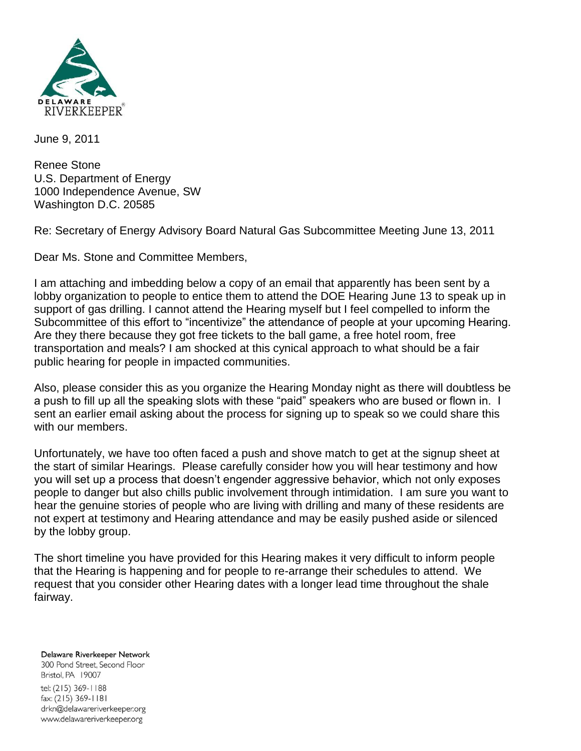

June 9, 2011

Renee Stone U.S. Department of Energy 1000 Independence Avenue, SW Washington D.C. 20585

Re: Secretary of Energy Advisory Board Natural Gas Subcommittee Meeting June 13, 2011

Dear Ms. Stone and Committee Members,

I am attaching and imbedding below a copy of an email that apparently has been sent by a lobby organization to people to entice them to attend the DOE Hearing June 13 to speak up in support of gas drilling. I cannot attend the Hearing myself but I feel compelled to inform the Subcommittee of this effort to "incentivize" the attendance of people at your upcoming Hearing. Are they there because they got free tickets to the ball game, a free hotel room, free transportation and meals? I am shocked at this cynical approach to what should be a fair public hearing for people in impacted communities.

Also, please consider this as you organize the Hearing Monday night as there will doubtless be a push to fill up all the speaking slots with these "paid" speakers who are bused or flown in. I sent an earlier email asking about the process for signing up to speak so we could share this with our members.

Unfortunately, we have too often faced a push and shove match to get at the signup sheet at the start of similar Hearings. Please carefully consider how you will hear testimony and how you will set up a process that doesn't engender aggressive behavior, which not only exposes people to danger but also chills public involvement through intimidation. I am sure you want to hear the genuine stories of people who are living with drilling and many of these residents are not expert at testimony and Hearing attendance and may be easily pushed aside or silenced by the lobby group.

The short timeline you have provided for this Hearing makes it very difficult to inform people that the Hearing is happening and for people to re-arrange their schedules to attend. We request that you consider other Hearing dates with a longer lead time throughout the shale fairway.

Delaware Riverkeeper Network 300 Pond Street, Second Floor Bristol, PA 19007 tel: (215) 369-1188 fax: (215) 369-1181 drkn@delawareriverkeeper.org www.delawareriverkeeper.org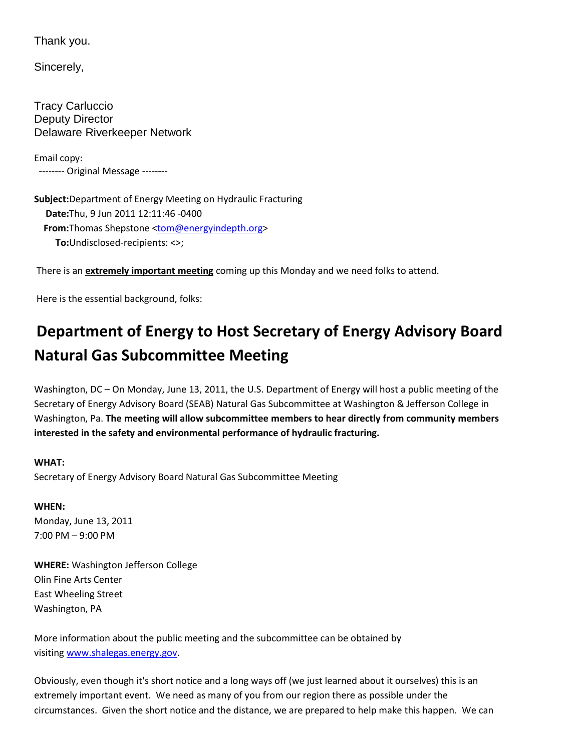Thank you.

Sincerely,

Tracy Carluccio Deputy Director Delaware Riverkeeper Network

Email copy: -------- Original Message --------

**Subject:** Department of Energy Meeting on Hydraulic Fracturing **Date:** Thu, 9 Jun 2011 12:11:46 -0400 **From:** Thomas Shepstone [<tom@energyindepth.org>](mailto:tom@energyindepth.org) **To:** Undisclosed-recipients: <>;

There is an **extremely important meeting** coming up this Monday and we need folks to attend.

Here is the essential background, folks:

## **Department of Energy to Host Secretary of Energy Advisory Board Natural Gas Subcommittee Meeting**

Washington, DC – On Monday, June 13, 2011, the U.S. Department of Energy will host a public meeting of the Secretary of Energy Advisory Board (SEAB) Natural Gas Subcommittee at Washington & Jefferson College in Washington, Pa. **The meeting will allow subcommittee members to hear directly from community members interested in the safety and environmental performance of hydraulic fracturing.**

## **WHAT:**

Secretary of Energy Advisory Board Natural Gas Subcommittee Meeting

**WHEN:** Monday, June 13, 2011 7:00 PM – 9:00 PM

**WHERE:** Washington Jefferson College Olin Fine Arts Center East Wheeling Street Washington, PA

More information about the public meeting and the subcommittee can be obtained by visiting [www.shalegas.energy.gov.](http://www.shalegas.energy.gov/)

Obviously, even though it's short notice and a long ways off (we just learned about it ourselves) this is an extremely important event. We need as many of you from our region there as possible under the circumstances. Given the short notice and the distance, we are prepared to help make this happen. We can